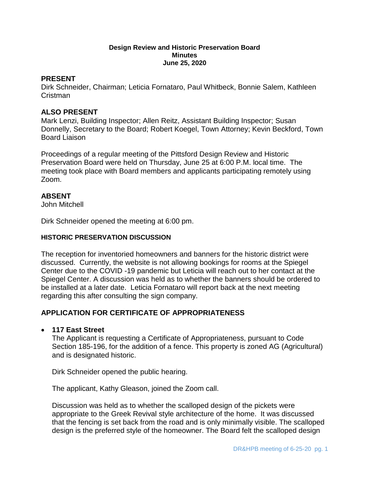#### **Design Review and Historic Preservation Board Minutes June 25, 2020**

### **PRESENT**

Dirk Schneider, Chairman; Leticia Fornataro, Paul Whitbeck, Bonnie Salem, Kathleen Cristman

#### **ALSO PRESENT**

Mark Lenzi, Building Inspector; Allen Reitz, Assistant Building Inspector; Susan Donnelly, Secretary to the Board; Robert Koegel, Town Attorney; Kevin Beckford, Town Board Liaison

Proceedings of a regular meeting of the Pittsford Design Review and Historic Preservation Board were held on Thursday, June 25 at 6:00 P.M. local time. The meeting took place with Board members and applicants participating remotely using Zoom.

#### **ABSENT**

John Mitchell

Dirk Schneider opened the meeting at 6:00 pm.

#### **HISTORIC PRESERVATION DISCUSSION**

The reception for inventoried homeowners and banners for the historic district were discussed. Currently, the website is not allowing bookings for rooms at the Spiegel Center due to the COVID -19 pandemic but Leticia will reach out to her contact at the Spiegel Center. A discussion was held as to whether the banners should be ordered to be installed at a later date. Leticia Fornataro will report back at the next meeting regarding this after consulting the sign company.

## **APPLICATION FOR CERTIFICATE OF APPROPRIATENESS**

#### **117 East Street**

The Applicant is requesting a Certificate of Appropriateness, pursuant to Code Section 185-196, for the addition of a fence. This property is zoned AG (Agricultural) and is designated historic.

Dirk Schneider opened the public hearing.

The applicant, Kathy Gleason, joined the Zoom call.

Discussion was held as to whether the scalloped design of the pickets were appropriate to the Greek Revival style architecture of the home. It was discussed that the fencing is set back from the road and is only minimally visible. The scalloped design is the preferred style of the homeowner. The Board felt the scalloped design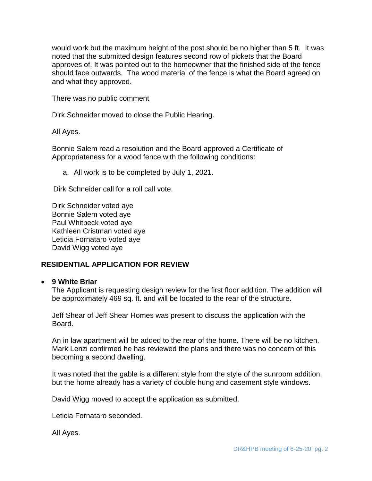would work but the maximum height of the post should be no higher than 5 ft. It was noted that the submitted design features second row of pickets that the Board approves of. It was pointed out to the homeowner that the finished side of the fence should face outwards. The wood material of the fence is what the Board agreed on and what they approved.

There was no public comment

Dirk Schneider moved to close the Public Hearing.

All Ayes.

Bonnie Salem read a resolution and the Board approved a Certificate of Appropriateness for a wood fence with the following conditions:

a. All work is to be completed by July 1, 2021.

Dirk Schneider call for a roll call vote.

Dirk Schneider voted aye Bonnie Salem voted aye Paul Whitbeck voted aye Kathleen Cristman voted aye Leticia Fornataro voted aye David Wigg voted aye

## **RESIDENTIAL APPLICATION FOR REVIEW**

#### **9 White Briar**

The Applicant is requesting design review for the first floor addition. The addition will be approximately 469 sq. ft. and will be located to the rear of the structure.

Jeff Shear of Jeff Shear Homes was present to discuss the application with the Board.

An in law apartment will be added to the rear of the home. There will be no kitchen. Mark Lenzi confirmed he has reviewed the plans and there was no concern of this becoming a second dwelling.

It was noted that the gable is a different style from the style of the sunroom addition, but the home already has a variety of double hung and casement style windows.

David Wigg moved to accept the application as submitted.

Leticia Fornataro seconded.

All Ayes.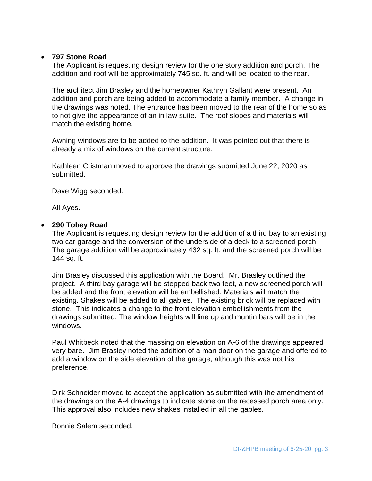## **797 Stone Road**

The Applicant is requesting design review for the one story addition and porch. The addition and roof will be approximately 745 sq. ft. and will be located to the rear.

The architect Jim Brasley and the homeowner Kathryn Gallant were present. An addition and porch are being added to accommodate a family member. A change in the drawings was noted. The entrance has been moved to the rear of the home so as to not give the appearance of an in law suite. The roof slopes and materials will match the existing home.

Awning windows are to be added to the addition. It was pointed out that there is already a mix of windows on the current structure.

Kathleen Cristman moved to approve the drawings submitted June 22, 2020 as submitted.

Dave Wigg seconded.

All Ayes.

# **290 Tobey Road**

The Applicant is requesting design review for the addition of a third bay to an existing two car garage and the conversion of the underside of a deck to a screened porch. The garage addition will be approximately 432 sq. ft. and the screened porch will be 144 sq. ft.

Jim Brasley discussed this application with the Board. Mr. Brasley outlined the project. A third bay garage will be stepped back two feet, a new screened porch will be added and the front elevation will be embellished. Materials will match the existing. Shakes will be added to all gables. The existing brick will be replaced with stone. This indicates a change to the front elevation embellishments from the drawings submitted. The window heights will line up and muntin bars will be in the windows.

Paul Whitbeck noted that the massing on elevation on A-6 of the drawings appeared very bare. Jim Brasley noted the addition of a man door on the garage and offered to add a window on the side elevation of the garage, although this was not his preference.

Dirk Schneider moved to accept the application as submitted with the amendment of the drawings on the A-4 drawings to indicate stone on the recessed porch area only. This approval also includes new shakes installed in all the gables.

Bonnie Salem seconded.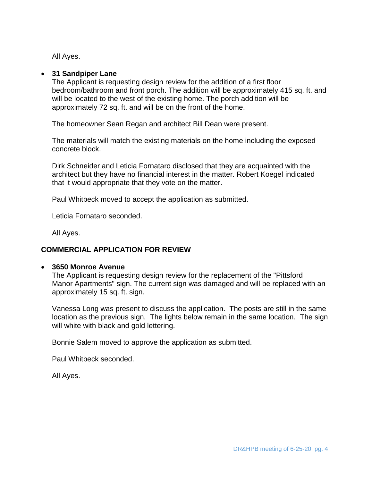All Ayes.

## **31 Sandpiper Lane**

The Applicant is requesting design review for the addition of a first floor bedroom/bathroom and front porch. The addition will be approximately 415 sq. ft. and will be located to the west of the existing home. The porch addition will be approximately 72 sq. ft. and will be on the front of the home.

The homeowner Sean Regan and architect Bill Dean were present.

The materials will match the existing materials on the home including the exposed concrete block.

Dirk Schneider and Leticia Fornataro disclosed that they are acquainted with the architect but they have no financial interest in the matter. Robert Koegel indicated that it would appropriate that they vote on the matter.

Paul Whitbeck moved to accept the application as submitted.

Leticia Fornataro seconded.

All Ayes.

# **COMMERCIAL APPLICATION FOR REVIEW**

## **3650 Monroe Avenue**

The Applicant is requesting design review for the replacement of the "Pittsford Manor Apartments" sign. The current sign was damaged and will be replaced with an approximately 15 sq. ft. sign.

Vanessa Long was present to discuss the application. The posts are still in the same location as the previous sign. The lights below remain in the same location. The sign will white with black and gold lettering.

Bonnie Salem moved to approve the application as submitted.

Paul Whitbeck seconded.

All Ayes.